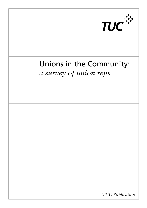

# Unions in the Community: *a survey of union reps*

*TUC Publication*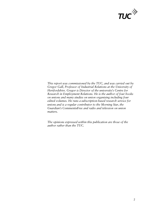

*This report was commissioned by the TUC, and was carried out by Gregor Gall, Professor of Industrial Relations at the University of Hertfordshire. Gregor is Director of the university's Centre for Research in Employment Relations. He is the author of four books on unions and many studies on union organising including four edited volumes. He runs a subscription-based research service for unions and is a regular contributor to the Morning Star, the Guardian's* CommentisFree *and radio and televsion on union matters.* 

*The opinions expressed within this publication are those of the author rather than the TUC.*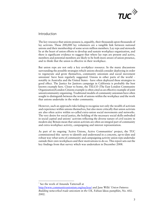

#### Introduction

The key resource that unions possess is, arguably, their thousands upon thousands of lay activists. These 200,000 lay volunteers are a tangible link between national unions and their membership of some seven million members. Lay reps and stewards lie at the heart of union efforts to develop and sustain workplace organization, and there is significant evidence to suggest that where lay reps are present and active, members and potential members are likely to be both more aware of union presence, and to think that the union is effective in their workplace.

But union reps are not only a key *workplace* resource. In the many discussions surrounding the possible strategies which unions should consider deploying in order to regenerate and grow themselves, community unionism and social movement unionism<sup>1</sup> have been regularly suggested. Unions in other parts of the world  $$ notably in Australia and the United States - have often deployed these strategies to good effect. The Justice for Janitors campaign in California is probably the best known example here. Closer to home, the TELCO (The East London Community Organization)/London Citizens example is often cited as an effective example of joint union/community organizing. Traditional models of community unionism have often sought to distinguish between the work of unions within the workplace and the work that unions undertake in the wider community.

However, such an approach risks failing to recognise not only the wealth of activism and experience within unions themselves, but also more critically that union activists are also often active within so-called extra-union social movements and networks. The very desire for social justice, the holding of the necessary social skills embodied in social capital and unions' activists reflecting the diverse nature of civil society in modern day Britain mean that union activists are often an integral part of community and extra-workplace activity, campaigning and interest representation.

As part of its ongoing 'Active Unions, Active Communities' project, the TUC commissioned this survey to identify and understand in a concrete, up-to-date and robust way what sorts of community and campaigning activity union reps undertake outside their own workplaces and their motivations to do so. This report sets out the key findings from that survey which was undertaken in December 2008.

 $\overline{a}$ 

<sup>&</sup>lt;sup>1</sup> See the work of Amanda Tattersall at

http://www.communityunionism.org/nucleus/ and Jane Wills' *Union Futures: Building networked trade unionism in the UK,* Fabian Ideas pamphlet, No. 602. 2002.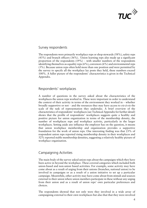

#### Survey respondents

The respondents were primarily workplace reps or shop stewards  $(58\%)$ , safety reps (43%) and branch officers (36%). Union learning reps also made up a significant proportion of the respondents  $(19\%)$  – with smaller numbers of the respondents identifying themselves as equality reps  $(6\%)$ , convenors  $(6\%)$  and environmental reps (3%). Because union reps often hold more than one position and were permitted by the survey to specify all the workplace lay posts they held, these numbers exceed 100%. A fuller picture of the respondents' characteristics is given in the Technical Appendix.

## Respondents' workplaces

A number of questions in the survey asked about the characteristics of the workplaces the union reps worked in. These were important in order to understand the context of their activity in terms of the environment they worked in – whether broadly supportive or not – and the resources they may have access to *vis-à-vis* the scale of the task of representation they undertake. A brief overview of the characteristics of respondents' workplaces (see Technical Appendix for further detail) shows that the profile of respondents' workplaces suggests quite a healthy and positive picture for union organization in terms of the membership density, the number of workplaces reps and workplace activity, particularly in the larger workplaces. Setting aside any influence the employer has on the question, it means that union workplace membership and organization provides a supportive foundation for the work of union reps. One interesting finding was that 23% of respondent union reps reported rising membership density in their workplaces and 52% reported stable membership densities, suggesting a relatively healthy picture of workplace organisation.

## Campaigning Activities

The main body of the survey asked union reps about the campaigns which they have been active in beyond the workplace. These covered categories which included both union-based and non-union based activities. For example, some activity may have come about as a result of urging from their unions (branches, national union) to be involved in campaigns or as a result of a union initiative to set up a particular campaign. Meanwhile, other activity may have come about from stimuli and sources external to their union where union members participate in these without any urging from their union and as a result of union reps' own particular preferences and choices.

The respondents showed that not only were they involved in a wide array of campaigning external to their own workplaces but also that that they were involved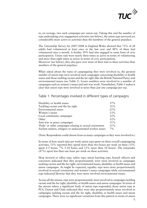

in, on average, two such campaigns per union rep. Taking this and the number of reps undertaking civic engagement activities (see below), the union reps surveyed are considerably more active in activities than the members of the general populace.

The *Citizenship Survey* for 2007-2008 in England Wales showed that 73% of all adults had volunteered at least once in the last year and 48% of these had volunteered once a month. A further 39% had also engaged in some form of civic participation. Union reps were nearly three times as active in terms of volunteering and more than eight times as active in terms of civic participation.

Moreover (see below), they also gave over more of their time to these activities than members of the general populace.

When asked about the types of campaigning they were involved in, the greatest number of union reps were involved such campaigns concerning disability or health issues and those tackling racism and the far right (like the British National Party) and environmental issues (see Table 1). Lesser numbers were involved in a number of campaigns such as women's issues and anti-war work. Nonetheless, Table 1 makes it clear that union reps were involved in more than just one campaign per rep.

#### Table 1: Percentages involved in different types of campaigns

| Disability or health issues                               | 37%   |
|-----------------------------------------------------------|-------|
| Tackling racism and the far right                         | 31%   |
| Environmental issues                                      | 25%   |
| Women's issues                                            | 13%   |
| Local community campaigns                                 | 12%   |
| Other                                                     | 12%   |
| Anti-war or peace campaigns                               | 11%   |
| 'Pride' or other campaigns relating to sexual orientation | 11%   |
| Asylum seekers, refugees or undocumented worker issues    | $7\%$ |

(Note: Respondents could choose from as many campaigns as they were involved in.)

In terms of how much time per week union reps spent on these overall campaigning activities, 53% reported they spend more than two hours per week on these (33% spent 2-5 hours, 7% 5-10 hours and 13% more than 10 hours). The remainder (47%) spent less than one hour per week on these activities.

Shop steward or office reps, safety reps, union learning reps, branch officers and convenors indicated that they proportionately were most involved in campaigns tackling racism and the far right, environmental issues, disability or health issues and union campaigns. As might be expected, equality reps were more proportionately involved in sexual orientation and women's issues campaigns while environmental reps indicated likewise that they were more involved environmental issues.

Across all the unions, reps were proportionately more involved in campaigns tackling racism and the far right, disability or health issues and union campaigns. In terms of the unions where a significant body of union reps responded, those union reps in PCS, Unison and Unite indicated they were also proportionately more involved in campaigns tackling racism and the far right, disability or health issues and union campaigns. There were no significant variations from this pattern in terms of union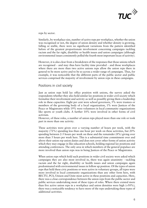

reps by sector.

Similarly, by workplace size, number of active reps per workplace, whether the union was recognised or not, the degree of union density and whether density is growing, falling or stable, there were no significant variations from the pattern identified before of the greatest proportionate involvement concerning campaigns tackling racism and the far right, disability or health issues and union campaigns (although environmental issues consistently polled the fourth most important locus of activity).

However, it is also clear from a breakdown of the responses that those unions which are recognised – and may thus have facility time provided – and those workplaces where there are more than two active unions reps allow the union reps there in general to be more active and to be so across a wider range of campaigns. Thus, for example, it was noticeable that the different parts of the public sector and public services comprised the majority of involvement by union reps in these campaigns.

#### Positions in civil society

Just as union reps hold lay office position with unions, the survey asked the respondents whether they also hold similar lay positions in wider civil society which formalize their involvement and activity as well as possibly giving them a leadership role in these capacities. Eight per cent were school governors, 5% were trustees or members of the governing body of a local organization, 1% were Justices of the Peace or Magistrates while 19% were volunteers in local community organizations like sports or youth clubs. A further 10% were involved in other forms of civil activism.

However, of these roles, a number of union reps played more than one role or took part in more than one activity.

These activities were given over a varying number of hours per week, with the majority (72%) spending less than one hour per week on these activities, but 20% spending between 2-5 hours per week on these and the remainder (8%) giving over more than 5 hours per week here. This is a substantial time commitment over and above their union rep union duties and does not cover other forms of union activity which they may engage in like education schools, holding regional lay positions and attending conferences. The only area in which members of the general populace are more involved than union reps was in being Justices of the Peace or Magistrates.

When union reps which hold such positions in wider civil society were asked which campaigns they are also most involved in, there was again unanimity - tackling racism and the far right, disability or health issues and union campaigns again predominated with environmental issues in follow up position. Of the types of union reps that held these civic positions or were active in voluntary groups, all types were more involved in local community organizations than any other form here, with BECTU, PCS, Unison and Unite most active in these positions and capacities. Here, there was a close correspondence between the union reps from the public sector and public services undertaking most of these types of roles. Where there existed more than five active union reps in a workplace and union densities were high  $(50\%)$ , there was a noticeable tendency to have more of the reps undertaking these types of additional activities.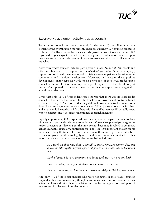

#### Extra-workplace union activity: trades councils

Trades union councils (or more commonly 'trades council') are still an important element of the overall union movement. There are currently 129 councils registered with the TUC. Registration has seen a steady growth in recent years with only 102 registered 10 years ago. Over half the current registered trades union councils report that they are active in their communities or are working with local affiliated union branches.

Activity by trades councils includes participation in local *Hope not Hate* events and other anti-fascist activity, support for the *Speak up for Public Services* campaign, support for local health services as well as living wage campaigns, education in the community and union development. However, and despite these positive developments, many reps play little or no active role in their local trades union council, with only 15% of union reps surveyed being active in their local body. A further 9% reported that another union rep in their workplace was delegated to attend the trades council.

Given that only 11% of respondent reps reported that there was no local trades council in their area, the reasons for the low level of involvement are to be found elsewhere. Firstly, 27% reported that they did not know what a trades council is or does. For example, one respondent commented: '[I'm n]ot sure how to be involved and what would be needed' while others said 'I would be involved if I actually knew who to contact' and '[It's n]ever mentioned at branch meetings.'

Equally importantly, 38% responded that they did not participate for issues of lack of time due to personal and family commitments. Often when pressed people give the reason or excuse of 'I haven't got the time' for not becoming involved in voluntary activities and this is usually a subterfuge for 'The issue isn't important enough for me to bother making the time'. However, in the case of the union reps, this is unlikely to be the case given that they are highly active and their commitments extend to other union and civic activities as some of the quotes below indicate:

*As I work an abnormal shift (4 am till 12 noon) my sleep pattern does not allow me late nights (beyond 7pm or 8 pm) so I do what I can in the time I have.* 

*Lack of time: I have to commute 1 ½ hours each way to work and back.* 

*I live 30 miles from my workplace, so commuting is an issue.* 

*I was active in the past but I'm now too busy as Brigade H&S representative.* 

And only 4% of those respondents who were not active in their trades councils responded this was because they thought a trades council was not relevant to their activities. This indicates there is a latent and so far untapped potential pool of interest and involvement in trades councils.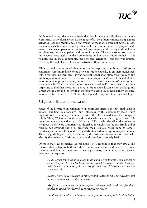

Of those union reps that were active in their local trades councils, there was a more even spread of involvement across the range of all the aforementioned campaigning activities (tackling racism and so on) whilst for those who were not active in local trades councils there was a much greater conformity to the pattern of proportionate involvement in campaigns concerning tackling racism and the far right, disability or health issues, union campaigns and the environment. There was some crossover of those work were active in their community and in their trades councils – via volunteering in local community projects and activities – but this was limited, reflecting the high degree of existing activity of these union reps.

While it might be expected that more 'senior reps' such as branch officers or convenors were more likely to be active in trades councils, given their higher level role in representing members – it was noticeable that shop stewards/office reps and safety reps were more active in this way on a proportional basis. PCS and Unite's union reps were proportionately more active than any other unions' union reps in trades councils. This may reflect union policy at a regional/national level. It was not surprising to find that those most active in trades councils came from the large and largest workplaces and those with more than two active union reps in the workplace, union densities in excess of 81% membership and rising and stable memberships.

#### Religious beliefs and observance

Much of the literature on community unionism has stressed the potential value of unions building relationships and alliances with community-based faith organizations. The surveyed union reps were, therefore, asked about their religious beliefs. Thus, 67% of respondents did not describe themselves 'religious', with 6% preferring not to say either way. Of those  $-27%$  – who described themselves as 'religious', 64% were Christian, 4% described themselves as Jewish, Hindi and/or Muslim backgrounds and 31% described their religious background as 'other'. Fourteen per cent of all respondents regularly attended some type of religious service. This is slightly higher than, for example, the estimated one-in-ten of those who identify themselves as Christians and attend church on a weekly basis.

Of those that saw themselves as 'religious', 84% responded that they saw a link between their religious faith and their union membership and/or activity. Some responses highlight the importance of seeking fairness, community, respect, justice, tolerance and equality:

*As an active trade unionist I am doing good work to help other people to ensure they are treated fairly and justly. As a Christian, I am also trying to help the wider community. I see no conflict in being a Christian and an active trade unionist.* 

*Being a Christian, I believe in fairness and justice for all. Christianity and unions are two sides of the same coin* 

*My faith … taught me to stand against injustice and speak out for those unable to speak for themselves for whatever reason.* 

*Buddhism promotes compassion, and my union activity is to protect public*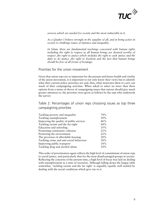

*services which are needed for society and the most vulnerable in it.* 

*As a Quaker I believe strongly in the equality of all, and in being active in society to challenge issues of injustice and inequality.* 

*In Islam, there are fundamental teachings concerned with human rights*  including the right to respect as all human beings are deemed worthy of *respect ,the right to justice which includes the right to seek justice and the duty to do justice ,the right to freedom and the fact that human beings should be free of all forms of bondage.*

#### Priorities for the union movement

Given that union reps are so important for the present and future health and vitality of the union movement, it is important to not only know their views but to identify what their current policy priorities are and, thus, what motivates them to carry out much of their campaigning activities. When asked to select no more than three options from a menu of eleven of campaigning issues that unions should give much greater attention to, the priorities were given as follows by the reps who undertook the survey:

Table 2: Percentages of union reps choosing issues as top three campaigning priorities

| Tackling poverty and inequality          | 74% |
|------------------------------------------|-----|
| Tackling unemployment                    | 50% |
| Improving the quality of public services | 46% |
| Tackling racism and the far-right        | 44% |
| Education and schooling                  | 35% |
| Promoting community cohesion             | 23% |
| Protecting the environment               | 22% |
| The provision of affordable housing      | 20% |
| Tackling crime and anti-social behaviour | 18% |
| Improving public transport               | 18% |
| Tackling drug and alcohol abuse          | 10% |

This order of prioritisation again reflects the high level of commitment of union reps to social justice, and particularly that for the most disadvantaged groups in society. Reflecting the concerns of the present time, a high level of focus was laid on dealing with unemployment in a time of recession. Although falling down the league table somewhat, 'tackling racism and the far right' is arguably equally well tackled by dealing with the social conditions which give rise to it.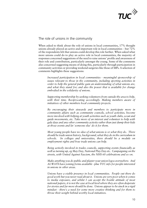

The role of unions in the community

When asked to think about the role of unions in local communities, 17% thought unions already played an active and important role in local communities – but 72% of the respondents felt that unions could develop this role further. When asked what more unions could do to play an active role in local communities, the majority of responses concerned suggestions of the need to raise unions' profile and awareness of their role and contribution, particularly amongst the young. Some of the comments also concerned suggesting means of doing this, particularly through participation in community activities or providing weekend surgeries like those of MPs. A selection of comments highlights these suggestions:

*Increased participation in local communities - meaningful sponsorship of issues relevant to those in the community, including sporting activities in order to help the general public gain an understanding of what unions are, and what they stand for; and also the power that is available for change embodied in the solidarity of unions.* 

*Supporting membership by seeking volunteers from outside the area to help, with their time. Reciprocating accordingly. Making members aware of initiatives of other members local community projects.* 

*By encouraging their stewards and members to participate more in community affairs such as community councils, school activities, become more involved with helping at youth activities such as youth clubs, scout and guide movements, etc. Take more of an interest and volunteer to help with gala days and any other community activity rather than just dump their kids at those events and let 'someone else' do it for them.* 

*Most young people have no idea of what unions is or what they do. There should be trade union history, background, what they do in the curriculum in schools. In colleges and universities, there should be a module on employment rights and how trade unions can help.* 

*Being actively involved in trades councils, supporting events financially as well as turning up, eg May Day, National Play Day etc. Campaigning on the streets, with United Against Fascism, the NHS 60 celebrations and so on.* 

*Make anything you do public and plaster your union logos everywhere. And ALWAYS have joining forms available - plus TUC info for people interested in unions in other areas.* 

*Unions have a visible presence in local communities. People out there do good work but you never read about it. Unions are very poor when it comes to media exposure, and whilst I can accept the hostile attitude of most national papers, it is not the case at local level where they are often desperate for stories and far more should be done. Unions appear to be stuck in a rigid mindset - there's a need for some more creative thinking and for them to throw their weight behind worthy local initiatives.*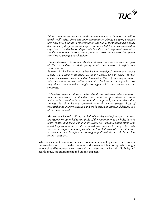

*Often communities are faced with decisions made by faceless councillors which badly affect them and their communities, almost on every occasion they have little training in representation and public speaking, and are easily discounted by the poor grievance programmes set up by the same council. If experienced Trades Union Reps could be called on to represent these often small communities. I know from my own successful endeavours this often is sufficient to change poor decisions.* 

*Gaining awareness to pre-school leavers at careers evenings or becoming part of the curriculum so that young adults are aware of rights and representation.* 

*Be more visible! Unions may be involved in campaigns/community activities locally - and I know some individual union members who are active - but this always seems to be on an individual basis rather than representing the union. My own union branch is often reluctant to back local campaigns because they think some members might not agree with the way we allocate resources.* 

*Depends on activists interests, but need to demonstrate to local communities that trade unionism is about wider issues. Public transport affects workers as well as others, need to have a more holistic approach, and consider public services that should serve communities in the widest context. Lots of potential links with privatisation and profit driven injustice, and degradation of the environment* 

*More outreach work utilising the skills of learning and safety reps to improve the awareness, knowledge and skills of the community as a whole, both in work related and social community issues. For instance, union safety reps could help community groups with risk assessments, learning reps could source courses for community members in local halls/schools. The unions can be seen as a social benefit, contributing to quality of life as a whole, not just in the workplace.* 

When asked about their views on which issues unions should play a greater, lesser or the same level of activity in the community, the issues which most reps who thought unions should be more active on were tackling racism and the far right, disability and health issues, the environment and union campaigns.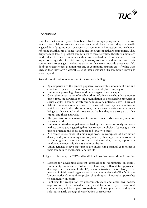

## Conclusions

It is clear that union reps are heavily involved in campaigning and activity whose focus is not solely or even mainly their own workplace. Indeed, they are heavily engaged in a large number of aspects of community interaction and exchange, reflecting that they are of some standing and involvement in their communities. They display a high level of practical commitment to these activities. Therefore, union reps 'add value' to their communities they are involved in. This testifies to their aspirational agenda of social justice, fairness, tolerance and respect and their commitment to engage in collective activities that work towards those ends. No doubt their experiences as union reps and as community activists cross-fertilize with each so that they form a desirable set of inter-personal skills commonly known as social capital.

Several specific points emerge out of the survey's findings:

- By comparison to the general populace, considerable amounts of time and effort are expended by union reps in extra-workplace campaigns
- Union reps posses high levels of different types of social capital
- Given the concentration of much work on relatively few shoulders amongst union reps, the downside to the accumulation of considerable amounts of social capital in comparatively few hands may be potential activist burn out
- Whilst communities contain much in the way of social capital and networks which are outside the orbit of unions, unions' own activists are not only a bridge to that capital and those networks but they are also part of that capital and those networks
- The prioritization of environmental concerns is already underway in union activists' work
- Union reps take the campaigns organized by own unions seriously and work in these campaigns suggesting that they respect the choice of campaigns their unions organize and show support and loyalty to these
- A virtuous circle exists of union reps work in workplace of high union density and good union organization, whereby this supportive environment facilitates greater representation and activity and this, in turn, supports or reinforced membership density and organization
- Union activists believe that unions are underselling themselves in terms of their community engagement and profile

In light of this survey the TUC and its affiliated member unions should consider:

- Support for developing different approaches to 'community unionism'. Community unionism in Britain may look very different to approaches developed in, for example the US, where activists are more likely to be involved in faith-based organisations and communities – the TUC's 'Active Unions, Active Communities' project should support innovative approaches to community unionism
- Lobbying for recognition by government, state and other civil society organizations of the valuable role played by union reps in their local communities, and developing proposals for building upon and extending this role (particularly through the attribution of resources)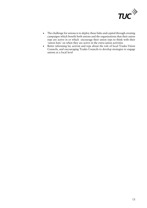

- The challenge for unions is to deploy these links and capital through creating campaigns which benefit both unions and the organizations that their union reps are active in or which encourage their union reps to think with their 'union hats' on when they are active in the extra-union activities
- Better informing lay activist and reps about the role of local Trades Union Councils, and encouraging Trades Councils to develop strategies to engage unions at a local level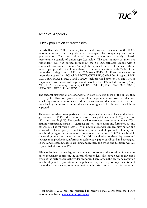

# Technical Appendix

 $\overline{a}$ 

## Survey population characteristics

In early December 2008, the survey team e-mailed registered members of the TUC's unionreps network inviting them to participate by completing an on-line questionnaire<sup>2</sup>. The composition of the respondents was a fairly robustly representative sample of union reps (see below).The total number of union rep respondents was 405 spread throughout the 58 TUC-affiliated unions with a combined membership of 6.5m. As might be expected the largest unions (with the most reps) provided the lion's share of the respondents – with 22% of the respondents being from UNITE and 20% from UNISON. Fifteen per cent of the respondents came from PCS while BECTU, CWU, FBU, GMB, POA, Prospect, RMT, SCP, TSSA, UCATT, URTU and USDAW each provided between 1% and 10% of responses. Those unions with representation of less than 1% included Accord, Aslef, ATL, BDA, Community, Connect, CPHVA, CSP, EIS, FDA, NASUWT, NGSU, NUDAGO, NUT, SoR and UTW.

The sectoral distribution of respondents, in part, reflected those of the unions they were reps for. However, given that some of the major unions are now general unions which organize in a multiplicity of different sectors and that some sectors are still organized by a number of unions, there is not as tight a fit in this regard as might be expected.

Those sectors which were particularly well represented included local and national government  $(18\%)$ , the civil service and other public services  $(15\%)$ , education (9%) and health (8%). Reasonably well represented were entertainment (7%), manufacturing using metals (7%), transport (7%), agriculture and forestry (5%) and other (5%). The following sectors - banking, finance and insurance, distribution and wholesale, oil and gas, post and telecoms, retail and shops, and voluntary and membership organizations – were all represented at between 1%-2% levels while chemicals, mining and quarrying and fuel, drinks and tobacco, electricity, water and sewage, food production, information technology, paper, cardboard and packaging, science and research, textiles, clothing and leather, and wood and furniture were all represented at less than 1%.

While reflecting to some degree the dominant contours of the location of where the union movement is present, the spread of respondents does give a reasonably good grasp of the picture across the wider economy. Therefore, in the heartlands of union membership and organization in the public sector, there is good representation of respondents and an array of representation in the private service sector is also found.

<sup>&</sup>lt;sup>2</sup> Just under 14,000 reps are registered to receive e-mail alerts from the TUC's unionreps web-site: www.unionreps.org.uk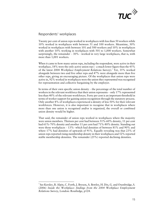

#### Respondents' workplaces

 $\overline{a}$ 

Twenty per cent of union reps worked in workplaces with less than 50 workers while 10% worked in workplaces with between 51 and 100 workers. Meantime, 30% worked in workplaces with between 101 and 500 workers and 10% in workplaces with another 10% working in workplaces with 501 to 1,000 workers. Somewhat surprisingly, the remainder  $-30\%$  - worked in very large workplaces, that is, with more than 1,001 workers.

When it came to how many union reps, including the respondent, were active in their workplace,  $18\%$  were the only active union rep (– a much lower figure than the 45% of the latest 2004 Workplace Employment Relations Survey).<sup>3</sup> Yet, 35% worked alongside between two and five other reps and 47% were alongside more than five other reps, giving an encouraging picture. Of the workplaces that union reps were active in, 92% worked in workplaces were the union they represented was recognised for representation and collective bargaining by the employer.

In terms of their own specific union density – the percentage of the total number of workers in the relevant workforce that their union represents – only 17% represented less than 40% of the relevant workforces. Forty per cent is an important threshold in terms of worker support for gaining union recognition through the statutory process. Only another 8% of workplaces experienced a density of less 50% for their relevant workforces. However, it is also important to recognise that in workplaces where more than one union is recognised and/or is organized, the overall or combined union density would be higher.

That said, the remainder of union reps worked in workplaces where the majority were union members. Thirteen per cent had between 51%-60% density, 11 per cent had 61%-70% density and another 11 per cent had 71%-80% density. Standing out were those workplaces – 13%- which had densities of between 81% and 90% and where 17% had densities of upwards of 91%. Equally revealing was that 23% of union reps reported rising membership density in their workplaces and 52% reported stable membership densities. The remainder (25%) reported declining densities.

<sup>&</sup>lt;sup>3</sup> See Kersley, B. Alpin, C. Forth, J. Bryson, A. Bewley, H. Dix, G. and Oxenbridge, S. (2006) *Inside the Workplace: findings from the 2004 Workplace Employment Relations Survey*, London: Routledge, p124.